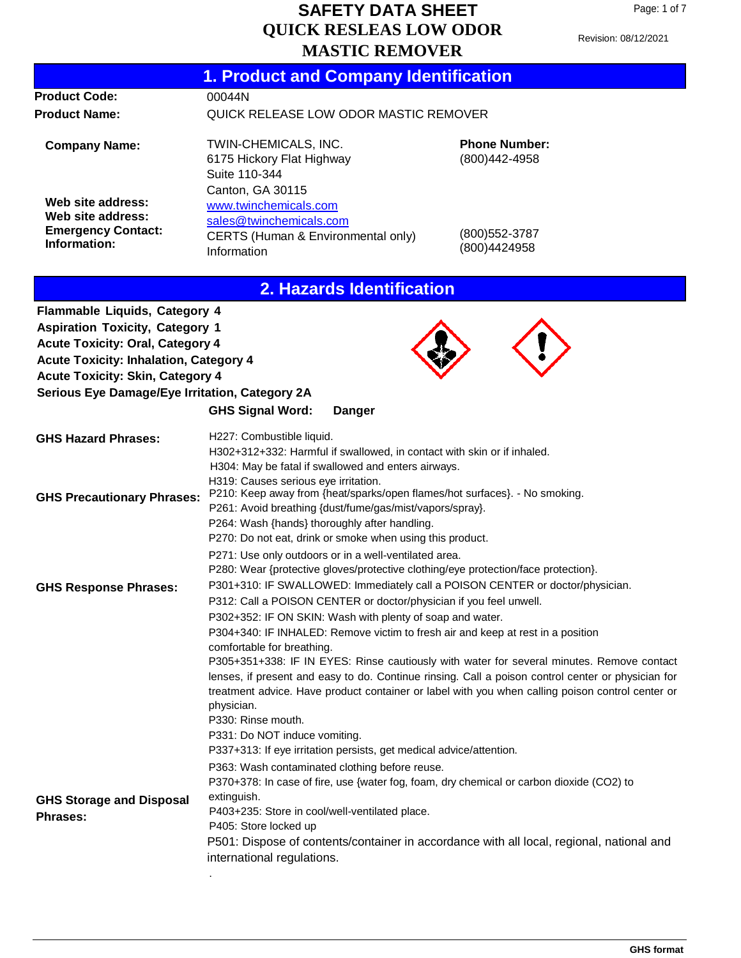Revision: 08/12/2021

|                                                | <b>1. Product and Company Identification</b>                                                                                                                                                                                                         |                                                                                                                                                                                                                                                                                                     |
|------------------------------------------------|------------------------------------------------------------------------------------------------------------------------------------------------------------------------------------------------------------------------------------------------------|-----------------------------------------------------------------------------------------------------------------------------------------------------------------------------------------------------------------------------------------------------------------------------------------------------|
| <b>Product Code:</b>                           | 00044N                                                                                                                                                                                                                                               |                                                                                                                                                                                                                                                                                                     |
| <b>Product Name:</b>                           | QUICK RELEASE LOW ODOR MASTIC REMOVER                                                                                                                                                                                                                |                                                                                                                                                                                                                                                                                                     |
| <b>Company Name:</b>                           | TWIN-CHEMICALS, INC.<br>6175 Hickory Flat Highway<br>Suite 110-344<br>Canton, GA 30115                                                                                                                                                               | <b>Phone Number:</b><br>(800) 442-4958                                                                                                                                                                                                                                                              |
| Web site address:                              | www.twinchemicals.com                                                                                                                                                                                                                                |                                                                                                                                                                                                                                                                                                     |
| Web site address:<br><b>Emergency Contact:</b> | sales@twinchemicals.com                                                                                                                                                                                                                              |                                                                                                                                                                                                                                                                                                     |
| Information:                                   | CERTS (Human & Environmental only)<br>Information                                                                                                                                                                                                    | (800) 552-3787<br>(800)4424958                                                                                                                                                                                                                                                                      |
|                                                | 2. Hazards Identification                                                                                                                                                                                                                            |                                                                                                                                                                                                                                                                                                     |
| Flammable Liquids, Category 4                  |                                                                                                                                                                                                                                                      |                                                                                                                                                                                                                                                                                                     |
| <b>Aspiration Toxicity, Category 1</b>         |                                                                                                                                                                                                                                                      |                                                                                                                                                                                                                                                                                                     |
| <b>Acute Toxicity: Oral, Category 4</b>        |                                                                                                                                                                                                                                                      |                                                                                                                                                                                                                                                                                                     |
| <b>Acute Toxicity: Inhalation, Category 4</b>  |                                                                                                                                                                                                                                                      |                                                                                                                                                                                                                                                                                                     |
| <b>Acute Toxicity: Skin, Category 4</b>        |                                                                                                                                                                                                                                                      |                                                                                                                                                                                                                                                                                                     |
| Serious Eye Damage/Eye Irritation, Category 2A |                                                                                                                                                                                                                                                      |                                                                                                                                                                                                                                                                                                     |
|                                                | <b>GHS Signal Word:</b><br><b>Danger</b>                                                                                                                                                                                                             |                                                                                                                                                                                                                                                                                                     |
| <b>GHS Hazard Phrases:</b>                     | H227: Combustible liquid.<br>H302+312+332: Harmful if swallowed, in contact with skin or if inhaled.<br>H304: May be fatal if swallowed and enters airways.<br>H319: Causes serious eye irritation.                                                  |                                                                                                                                                                                                                                                                                                     |
| <b>GHS Precautionary Phrases:</b>              | P210: Keep away from {heat/sparks/open flames/hot surfaces}. - No smoking.<br>P261: Avoid breathing {dust/fume/gas/mist/vapors/spray}.<br>P264: Wash {hands} thoroughly after handling.<br>P270: Do not eat, drink or smoke when using this product. |                                                                                                                                                                                                                                                                                                     |
|                                                | P271: Use only outdoors or in a well-ventilated area.                                                                                                                                                                                                |                                                                                                                                                                                                                                                                                                     |
|                                                | P280: Wear {protective gloves/protective clothing/eye protection/face protection}.                                                                                                                                                                   |                                                                                                                                                                                                                                                                                                     |
| <b>GHS Response Phrases:</b>                   | P301+310: IF SWALLOWED: Immediately call a POISON CENTER or doctor/physician.<br>P312: Call a POISON CENTER or doctor/physician if you feel unwell.                                                                                                  |                                                                                                                                                                                                                                                                                                     |
|                                                | P302+352: IF ON SKIN: Wash with plenty of soap and water.                                                                                                                                                                                            |                                                                                                                                                                                                                                                                                                     |
|                                                | P304+340: IF INHALED: Remove victim to fresh air and keep at rest in a position                                                                                                                                                                      |                                                                                                                                                                                                                                                                                                     |
|                                                | comfortable for breathing.                                                                                                                                                                                                                           |                                                                                                                                                                                                                                                                                                     |
|                                                | physician.                                                                                                                                                                                                                                           | P305+351+338: IF IN EYES: Rinse cautiously with water for several minutes. Remove contact<br>lenses, if present and easy to do. Continue rinsing. Call a poison control center or physician for<br>treatment advice. Have product container or label with you when calling poison control center or |
|                                                | P330: Rinse mouth.                                                                                                                                                                                                                                   |                                                                                                                                                                                                                                                                                                     |
|                                                | P331: Do NOT induce vomiting.                                                                                                                                                                                                                        |                                                                                                                                                                                                                                                                                                     |
|                                                | P337+313: If eye irritation persists, get medical advice/attention.                                                                                                                                                                                  |                                                                                                                                                                                                                                                                                                     |
|                                                | P363: Wash contaminated clothing before reuse.<br>P370+378: In case of fire, use {water fog, foam, dry chemical or carbon dioxide (CO2) to                                                                                                           |                                                                                                                                                                                                                                                                                                     |
| <b>GHS Storage and Disposal</b>                | extinguish.                                                                                                                                                                                                                                          |                                                                                                                                                                                                                                                                                                     |
| <b>Phrases:</b>                                | P403+235: Store in cool/well-ventilated place.<br>P405: Store locked up                                                                                                                                                                              |                                                                                                                                                                                                                                                                                                     |
|                                                | P501: Dispose of contents/container in accordance with all local, regional, national and<br>international regulations.                                                                                                                               |                                                                                                                                                                                                                                                                                                     |
|                                                |                                                                                                                                                                                                                                                      |                                                                                                                                                                                                                                                                                                     |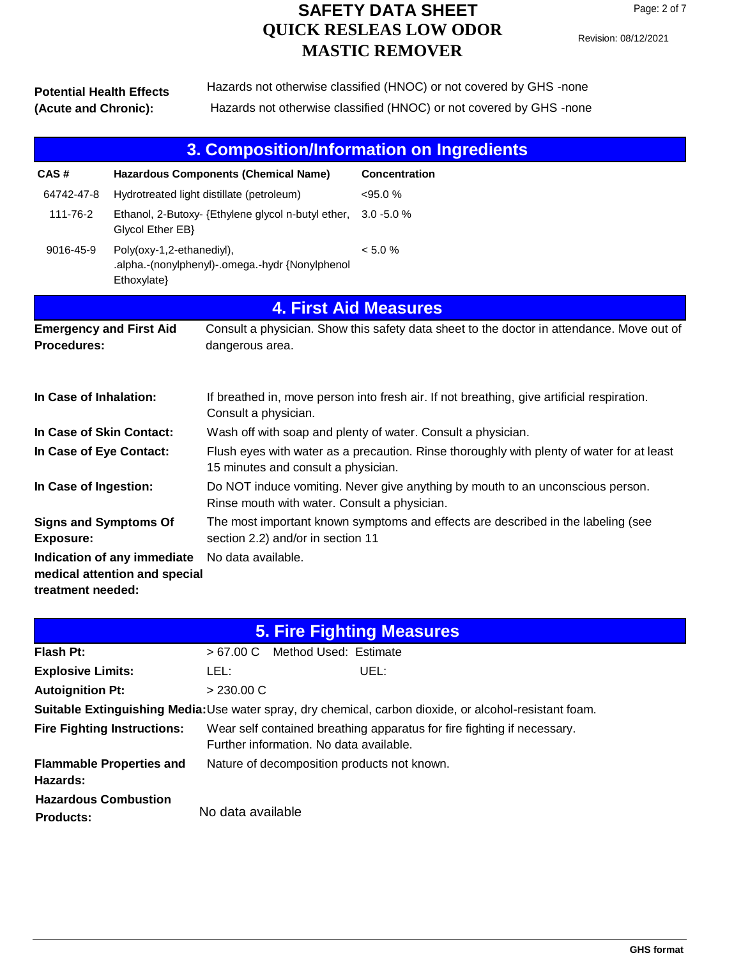#### **Potential Health Effects (Acute and Chronic):** Hazards not otherwise classified (HNOC) or not covered by GHS -none Hazards not otherwise classified (HNOC) or not covered by GHS -none

| 3. Composition/Information on Ingredients                                                               |                                                                                             |                                                    |                                                                                            |
|---------------------------------------------------------------------------------------------------------|---------------------------------------------------------------------------------------------|----------------------------------------------------|--------------------------------------------------------------------------------------------|
| CAS#                                                                                                    | <b>Hazardous Components (Chemical Name)</b>                                                 |                                                    | Concentration                                                                              |
| 64742-47-8                                                                                              |                                                                                             | Hydrotreated light distillate (petroleum)          | $<95.0\%$                                                                                  |
| 111-76-2                                                                                                | Glycol Ether EB}                                                                            | Ethanol, 2-Butoxy- {Ethylene glycol n-butyl ether, | $3.0 - 5.0 %$                                                                              |
| 9016-45-9                                                                                               | Poly(oxy-1,2-ethanediyl),<br>.alpha.-(nonylphenyl)-.omega.-hydr {Nonylphenol<br>Ethoxylate} |                                                    | < 5.0 %                                                                                    |
|                                                                                                         |                                                                                             |                                                    | <b>4. First Aid Measures</b>                                                               |
| <b>Emergency and First Aid</b><br><b>Procedures:</b>                                                    |                                                                                             | dangerous area.                                    | Consult a physician. Show this safety data sheet to the doctor in attendance. Move out of  |
| In Case of Inhalation:                                                                                  |                                                                                             | Consult a physician.                               | If breathed in, move person into fresh air. If not breathing, give artificial respiration. |
| In Case of Skin Contact:                                                                                |                                                                                             |                                                    | Wash off with soap and plenty of water. Consult a physician.                               |
| In Case of Eye Contact:                                                                                 |                                                                                             | 15 minutes and consult a physician.                | Flush eyes with water as a precaution. Rinse thoroughly with plenty of water for at least  |
| In Case of Ingestion:<br>Rinse mouth with water. Consult a physician.                                   |                                                                                             |                                                    | Do NOT induce vomiting. Never give anything by mouth to an unconscious person.             |
| Exposure:                                                                                               | <b>Signs and Symptoms Of</b><br>section 2.2) and/or in section 11                           |                                                    | The most important known symptoms and effects are described in the labeling (see           |
| Indication of any immediate<br>No data available.<br>medical attention and special<br>treatment needed: |                                                                                             |                                                    |                                                                                            |

| <b>5. Fire Fighting Measures</b>                                                                        |                   |                                                                                                                    |  |
|---------------------------------------------------------------------------------------------------------|-------------------|--------------------------------------------------------------------------------------------------------------------|--|
| Flash Pt:                                                                                               | >67.00 C          | Method Used: Estimate                                                                                              |  |
| <b>Explosive Limits:</b>                                                                                | LEL:              | UEL:                                                                                                               |  |
| <b>Autoignition Pt:</b>                                                                                 | > 230.00 C        |                                                                                                                    |  |
| Suitable Extinguishing Media: Use water spray, dry chemical, carbon dioxide, or alcohol-resistant foam. |                   |                                                                                                                    |  |
| <b>Fire Fighting Instructions:</b>                                                                      |                   | Wear self contained breathing apparatus for fire fighting if necessary.<br>Further information. No data available. |  |
| <b>Flammable Properties and</b><br>Hazards:                                                             |                   | Nature of decomposition products not known.                                                                        |  |
| <b>Hazardous Combustion</b><br><b>Products:</b>                                                         | No data available |                                                                                                                    |  |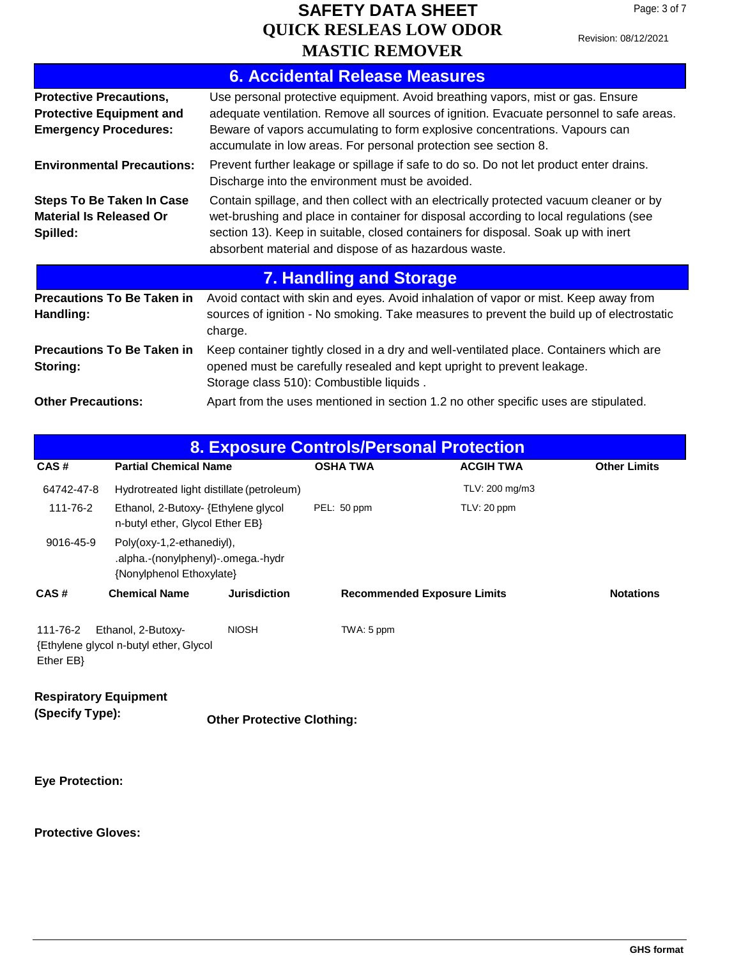Revision: 08/12/2021

|                                                                                                   | <b>6. Accidental Release Measures</b>                                                                                                                                                                                                                                                                                        |
|---------------------------------------------------------------------------------------------------|------------------------------------------------------------------------------------------------------------------------------------------------------------------------------------------------------------------------------------------------------------------------------------------------------------------------------|
| <b>Protective Precautions,</b><br><b>Protective Equipment and</b><br><b>Emergency Procedures:</b> | Use personal protective equipment. Avoid breathing vapors, mist or gas. Ensure<br>adequate ventilation. Remove all sources of ignition. Evacuate personnel to safe areas.<br>Beware of vapors accumulating to form explosive concentrations. Vapours can<br>accumulate in low areas. For personal protection see section 8.  |
| <b>Environmental Precautions:</b>                                                                 | Prevent further leakage or spillage if safe to do so. Do not let product enter drains.<br>Discharge into the environment must be avoided.                                                                                                                                                                                    |
| <b>Steps To Be Taken In Case</b><br><b>Material Is Released Or</b><br>Spilled:                    | Contain spillage, and then collect with an electrically protected vacuum cleaner or by<br>wet-brushing and place in container for disposal according to local regulations (see<br>section 13). Keep in suitable, closed containers for disposal. Soak up with inert<br>absorbent material and dispose of as hazardous waste. |
|                                                                                                   | <b>7. Handling and Storage</b>                                                                                                                                                                                                                                                                                               |
| <b>Precautions To Be Taken in</b><br>Handling:                                                    | Avoid contact with skin and eyes. Avoid inhalation of vapor or mist. Keep away from<br>sources of ignition - No smoking. Take measures to prevent the build up of electrostatic<br>charge.                                                                                                                                   |
| <b>Precautions To Be Taken in</b><br>Storing:                                                     | Keep container tightly closed in a dry and well-ventilated place. Containers which are<br>opened must be carefully resealed and kept upright to prevent leakage.<br>Storage class 510): Combustible liquids.                                                                                                                 |
| <b>Other Precautions:</b>                                                                         | Apart from the uses mentioned in section 1.2 no other specific uses are stipulated.                                                                                                                                                                                                                                          |

| <b>8. Exposure Controls/Personal Protection</b> |                                                                                             |                                           |                 |                                    |                     |
|-------------------------------------------------|---------------------------------------------------------------------------------------------|-------------------------------------------|-----------------|------------------------------------|---------------------|
| CAS#                                            | <b>Partial Chemical Name</b>                                                                |                                           | <b>OSHA TWA</b> | <b>ACGIH TWA</b>                   | <b>Other Limits</b> |
| 64742-47-8                                      |                                                                                             | Hydrotreated light distillate (petroleum) |                 | TLV: 200 mg/m3                     |                     |
| 111-76-2                                        | Ethanol, 2-Butoxy- {Ethylene glycol<br>n-butyl ether, Glycol Ether EB}                      |                                           | PEL: 50 ppm     | TLV: 20 ppm                        |                     |
| 9016-45-9                                       | Poly(oxy-1,2-ethanediyl),<br>.alpha.-(nonylphenyl)-.omega.-hydr<br>{Nonylphenol Ethoxylate} |                                           |                 |                                    |                     |
| CAS#                                            | <b>Chemical Name</b>                                                                        | <b>Jurisdiction</b>                       |                 | <b>Recommended Exposure Limits</b> | <b>Notations</b>    |
| 111-76-2<br>$E$ ther $EB$                       | Ethanol, 2-Butoxy-<br>Ethylene glycol n-butyl ether, Glycol                                 | <b>NIOSH</b>                              | TWA: 5 ppm      |                                    |                     |
| <b>Respiratory Equipment</b><br>(Specify Type): |                                                                                             | <b>Other Protective Clothing:</b>         |                 |                                    |                     |

**Eye Protection:**

**Protective Gloves:**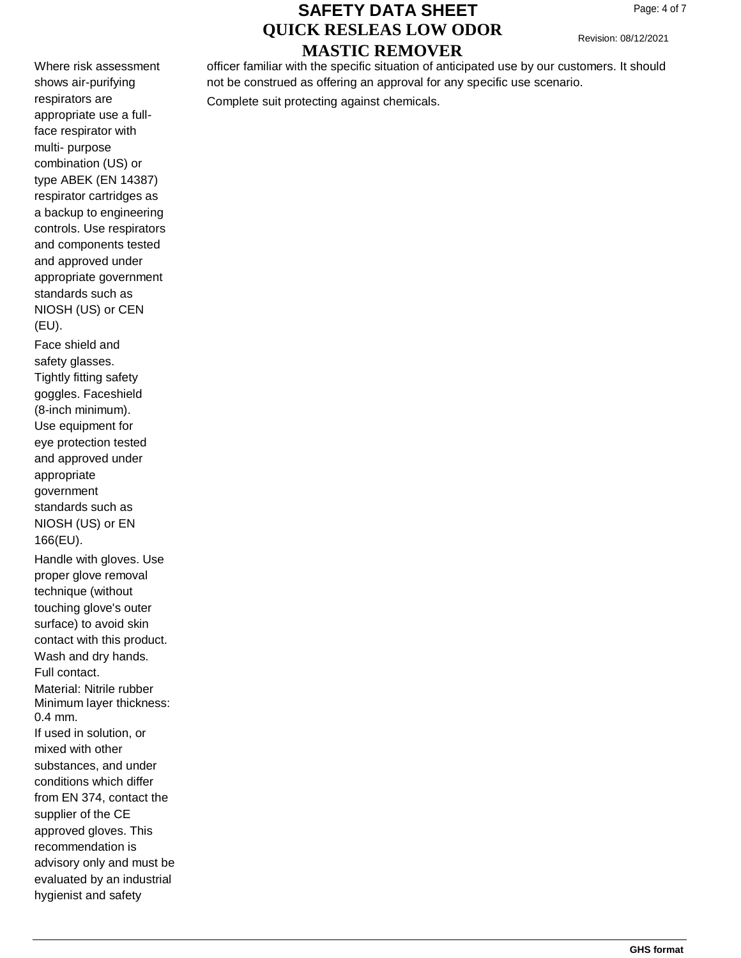Revision: 08/12/2021

Where risk assessment shows air-purifying respirators are appropriate use a fullface respirator with multi- purpose combination (US) or type ABEK (EN 14387) respirator cartridges as a backup to engineering controls. Use respirators and components tested and approved under appropriate government standards such as NIOSH (US) or CEN (EU).

Face shield and safety glasses. Tightly fitting safety goggles. Faceshield (8-inch minimum). Use equipment for eye protection tested and approved under appropriate government standards such as NIOSH (US) or EN 166(EU). Handle with gloves. Use proper glove removal technique (without touching glove's outer surface) to avoid skin contact with this product. Wash and dry hands. Full contact. Material: Nitrile rubber Minimum layer thickness: 0.4 mm. If used in solution, or

mixed with other substances, and under conditions which differ from EN 374, contact the supplier of the CE approved gloves. This recommendation is advisory only and must be evaluated by an industrial hygienist and safety

### officer familiar with the specific situation of anticipated use by our customers. It should not be construed as offering an approval for any specific use scenario.

Complete suit protecting against chemicals.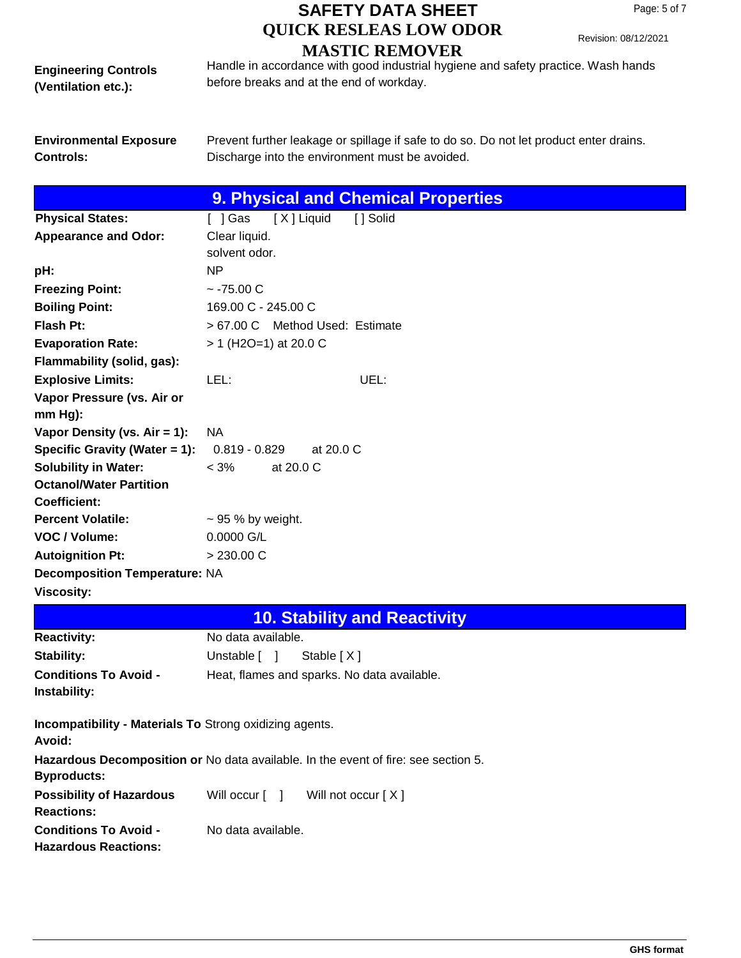Revision: 08/12/2021

**Engineering Controls (Ventilation etc.):**

Handle in accordance with good industrial hygiene and safety practice. Wash hands before breaks and at the end of workday.

**Environmental Exposure Controls:**

Prevent further leakage or spillage if safe to do so. Do not let product enter drains. Discharge into the environment must be avoided.

|                                                                                                          |                                             | <b>9. Physical and Chemical Properties</b> |
|----------------------------------------------------------------------------------------------------------|---------------------------------------------|--------------------------------------------|
| <b>Physical States:</b>                                                                                  | [X] Liquid<br>[ ] Gas                       | [ ] Solid                                  |
| <b>Appearance and Odor:</b>                                                                              | Clear liquid.                               |                                            |
|                                                                                                          | solvent odor.                               |                                            |
| pH:                                                                                                      | <b>NP</b>                                   |                                            |
| <b>Freezing Point:</b>                                                                                   | $~-75.00$ C                                 |                                            |
| <b>Boiling Point:</b>                                                                                    | 169.00 C - 245.00 C                         |                                            |
| Flash Pt:                                                                                                | > 67.00 C Method Used: Estimate             |                                            |
| <b>Evaporation Rate:</b>                                                                                 | $> 1$ (H2O=1) at 20.0 C                     |                                            |
| Flammability (solid, gas):                                                                               |                                             |                                            |
| <b>Explosive Limits:</b>                                                                                 | LEL:                                        | UEL:                                       |
| Vapor Pressure (vs. Air or<br>mm Hg):                                                                    |                                             |                                            |
| Vapor Density (vs. Air = 1):                                                                             | <b>NA</b>                                   |                                            |
| Specific Gravity (Water = 1):                                                                            | $0.819 - 0.829$<br>at 20.0 C                |                                            |
| <b>Solubility in Water:</b>                                                                              | $< 3\%$<br>at 20.0 C                        |                                            |
| <b>Octanol/Water Partition</b>                                                                           |                                             |                                            |
| Coefficient:                                                                                             |                                             |                                            |
| <b>Percent Volatile:</b>                                                                                 | $\sim$ 95 % by weight.                      |                                            |
| VOC / Volume:                                                                                            | 0.0000 G/L                                  |                                            |
| <b>Autoignition Pt:</b>                                                                                  | > 230.00 C                                  |                                            |
| <b>Decomposition Temperature: NA</b>                                                                     |                                             |                                            |
| <b>Viscosity:</b>                                                                                        |                                             |                                            |
|                                                                                                          |                                             | <b>10. Stability and Reactivity</b>        |
| <b>Reactivity:</b>                                                                                       | No data available.                          |                                            |
| Stability:                                                                                               | Unstable [ ]<br>Stable [X]                  |                                            |
| <b>Conditions To Avoid -</b><br>Instability:                                                             | Heat, flames and sparks. No data available. |                                            |
| <b>Incompatibility - Materials To Strong oxidizing agents.</b><br>Avoid:                                 |                                             |                                            |
| Hazardous Decomposition or No data available. In the event of fire: see section 5.<br><b>Byproducts:</b> |                                             |                                            |
| <b>Possibility of Hazardous</b><br><b>Reactions:</b>                                                     | Will occur [ ]                              | Will not occur [X]                         |
| <b>Conditions To Avoid -</b><br><b>Hazardous Reactions:</b>                                              | No data available.                          |                                            |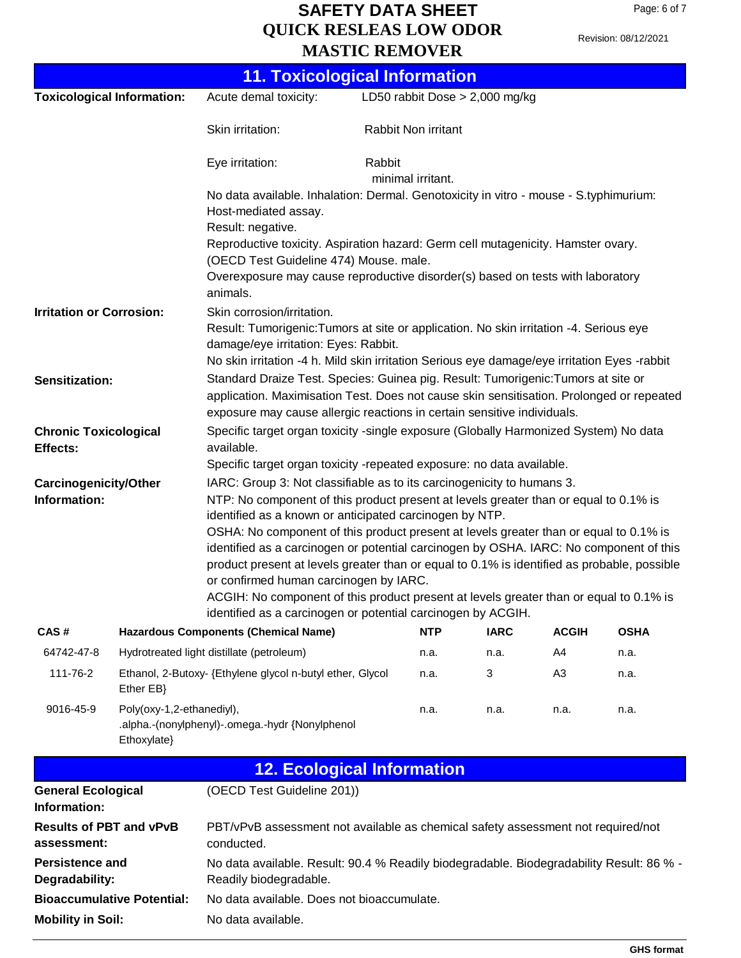Revision: 08/12/2021

|                                                                                                                                                                                                                                                                                                                                                                                                                                                                                                                                                                                                                                                                                                                                                                 |                                                                        |                                                                                                                                                                                                                                                              | <b>11. Toxicological Information</b> |             |                |             |
|-----------------------------------------------------------------------------------------------------------------------------------------------------------------------------------------------------------------------------------------------------------------------------------------------------------------------------------------------------------------------------------------------------------------------------------------------------------------------------------------------------------------------------------------------------------------------------------------------------------------------------------------------------------------------------------------------------------------------------------------------------------------|------------------------------------------------------------------------|--------------------------------------------------------------------------------------------------------------------------------------------------------------------------------------------------------------------------------------------------------------|--------------------------------------|-------------|----------------|-------------|
| <b>Toxicological Information:</b>                                                                                                                                                                                                                                                                                                                                                                                                                                                                                                                                                                                                                                                                                                                               |                                                                        | Acute demal toxicity:                                                                                                                                                                                                                                        | LD50 rabbit Dose $> 2,000$ mg/kg     |             |                |             |
|                                                                                                                                                                                                                                                                                                                                                                                                                                                                                                                                                                                                                                                                                                                                                                 |                                                                        | Skin irritation:                                                                                                                                                                                                                                             | Rabbit Non irritant                  |             |                |             |
|                                                                                                                                                                                                                                                                                                                                                                                                                                                                                                                                                                                                                                                                                                                                                                 |                                                                        | Eye irritation:                                                                                                                                                                                                                                              | Rabbit<br>minimal irritant.          |             |                |             |
|                                                                                                                                                                                                                                                                                                                                                                                                                                                                                                                                                                                                                                                                                                                                                                 |                                                                        | No data available. Inhalation: Dermal. Genotoxicity in vitro - mouse - S.typhimurium:<br>Host-mediated assay.                                                                                                                                                |                                      |             |                |             |
|                                                                                                                                                                                                                                                                                                                                                                                                                                                                                                                                                                                                                                                                                                                                                                 |                                                                        | Result: negative.<br>Reproductive toxicity. Aspiration hazard: Germ cell mutagenicity. Hamster ovary.<br>(OECD Test Guideline 474) Mouse. male.                                                                                                              |                                      |             |                |             |
|                                                                                                                                                                                                                                                                                                                                                                                                                                                                                                                                                                                                                                                                                                                                                                 |                                                                        | Overexposure may cause reproductive disorder(s) based on tests with laboratory<br>animals.                                                                                                                                                                   |                                      |             |                |             |
| <b>Irritation or Corrosion:</b>                                                                                                                                                                                                                                                                                                                                                                                                                                                                                                                                                                                                                                                                                                                                 |                                                                        | Skin corrosion/irritation.<br>Result: Tumorigenic: Tumors at site or application. No skin irritation -4. Serious eye<br>damage/eye irritation: Eyes: Rabbit.<br>No skin irritation -4 h. Mild skin irritation Serious eye damage/eye irritation Eyes -rabbit |                                      |             |                |             |
| Sensitization:                                                                                                                                                                                                                                                                                                                                                                                                                                                                                                                                                                                                                                                                                                                                                  |                                                                        | Standard Draize Test. Species: Guinea pig. Result: Tumorigenic: Tumors at site or<br>application. Maximisation Test. Does not cause skin sensitisation. Prolonged or repeated<br>exposure may cause allergic reactions in certain sensitive individuals.     |                                      |             |                |             |
| <b>Chronic Toxicological</b><br>Effects:                                                                                                                                                                                                                                                                                                                                                                                                                                                                                                                                                                                                                                                                                                                        |                                                                        | Specific target organ toxicity -single exposure (Globally Harmonized System) No data<br>available.<br>Specific target organ toxicity -repeated exposure: no data available.                                                                                  |                                      |             |                |             |
| IARC: Group 3: Not classifiable as to its carcinogenicity to humans 3.<br><b>Carcinogenicity/Other</b><br>Information:<br>NTP: No component of this product present at levels greater than or equal to 0.1% is<br>identified as a known or anticipated carcinogen by NTP.<br>OSHA: No component of this product present at levels greater than or equal to 0.1% is<br>identified as a carcinogen or potential carcinogen by OSHA. IARC: No component of this<br>product present at levels greater than or equal to 0.1% is identified as probable, possible<br>or confirmed human carcinogen by IARC.<br>ACGIH: No component of this product present at levels greater than or equal to 0.1% is<br>identified as a carcinogen or potential carcinogen by ACGIH. |                                                                        |                                                                                                                                                                                                                                                              |                                      |             |                |             |
| CAS#                                                                                                                                                                                                                                                                                                                                                                                                                                                                                                                                                                                                                                                                                                                                                            |                                                                        | <b>Hazardous Components (Chemical Name)</b>                                                                                                                                                                                                                  | <b>NTP</b>                           | <b>IARC</b> | <b>ACGIH</b>   | <b>OSHA</b> |
| 64742-47-8                                                                                                                                                                                                                                                                                                                                                                                                                                                                                                                                                                                                                                                                                                                                                      |                                                                        | Hydrotreated light distillate (petroleum)                                                                                                                                                                                                                    | n.a.                                 | n.a.        | A4             | n.a.        |
| 111-76-2                                                                                                                                                                                                                                                                                                                                                                                                                                                                                                                                                                                                                                                                                                                                                        | Ethanol, 2-Butoxy- {Ethylene glycol n-butyl ether, Glycol<br>Ether EB} |                                                                                                                                                                                                                                                              | n.a.                                 | 3           | A <sub>3</sub> | n.a.        |
| 9016-45-9                                                                                                                                                                                                                                                                                                                                                                                                                                                                                                                                                                                                                                                                                                                                                       | Poly(oxy-1,2-ethanediyl),<br>Ethoxylate}                               | .alpha.-(nonylphenyl)-.omega.-hydr {Nonylphenol                                                                                                                                                                                                              | n.a.                                 | n.a.        | n.a.           | n.a.        |
|                                                                                                                                                                                                                                                                                                                                                                                                                                                                                                                                                                                                                                                                                                                                                                 |                                                                        |                                                                                                                                                                                                                                                              | <b>12. Ecological Information</b>    |             |                |             |
| <b>General Ecological</b><br>Information:                                                                                                                                                                                                                                                                                                                                                                                                                                                                                                                                                                                                                                                                                                                       |                                                                        | (OECD Test Guideline 201))                                                                                                                                                                                                                                   |                                      |             |                |             |
| <b>Results of PBT and vPvB</b><br>PBT/vPvB assessment not available as chemical safety assessment not required/not<br>assessment:<br>conducted.                                                                                                                                                                                                                                                                                                                                                                                                                                                                                                                                                                                                                 |                                                                        |                                                                                                                                                                                                                                                              |                                      |             |                |             |
| <b>Persistence and</b><br>Degradability:                                                                                                                                                                                                                                                                                                                                                                                                                                                                                                                                                                                                                                                                                                                        |                                                                        | No data available. Result: 90.4 % Readily biodegradable. Biodegradability Result: 86 % -<br>Readily biodegradable.                                                                                                                                           |                                      |             |                |             |
|                                                                                                                                                                                                                                                                                                                                                                                                                                                                                                                                                                                                                                                                                                                                                                 | <b>Bioaccumulative Potential:</b>                                      | No data available. Does not bioaccumulate.                                                                                                                                                                                                                   |                                      |             |                |             |
| <b>Mobility in Soil:</b>                                                                                                                                                                                                                                                                                                                                                                                                                                                                                                                                                                                                                                                                                                                                        |                                                                        | No data available.                                                                                                                                                                                                                                           |                                      |             |                |             |